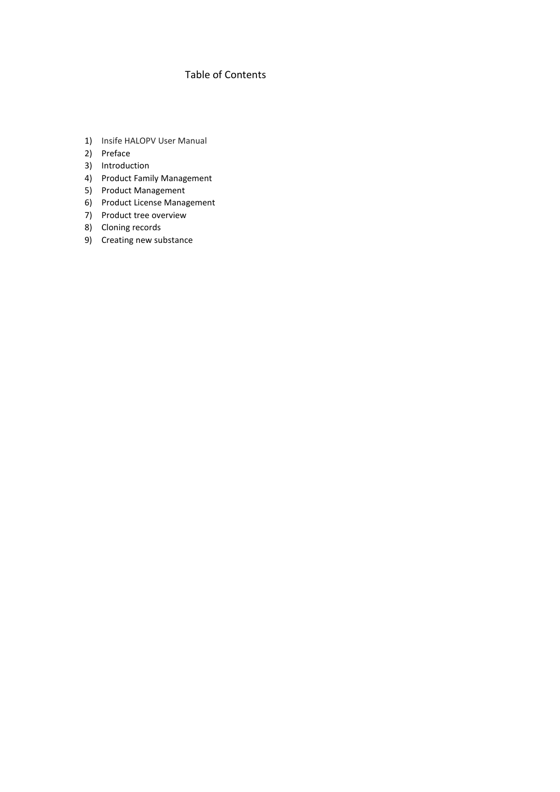# Table of Contents

- 1) Insife HALOPV User Manual
- 2) Preface
- 3) Introduction
- 4) Product Family Management
- 5) Product Management
- 6) Product License Management
- 7) Product tree overview
- 8) Cloning records
- 9) Creating new substance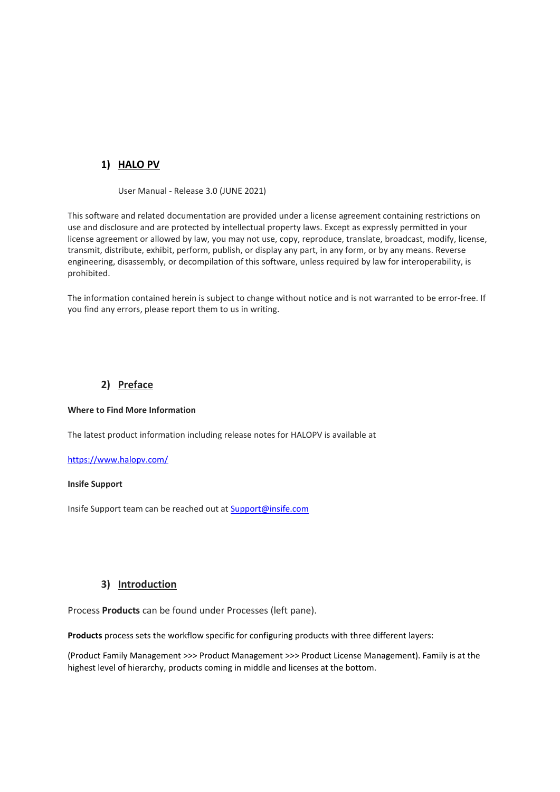# **1) HALO PV**

User Manual - Release 3.0 (JUNE 2021)

This software and related documentation are provided under a license agreement containing restrictions on use and disclosure and are protected by intellectual property laws. Except as expressly permitted in your license agreement or allowed by law, you may not use, copy, reproduce, translate, broadcast, modify, license, transmit, distribute, exhibit, perform, publish, or display any part, in any form, or by any means. Reverse engineering, disassembly, or decompilation of this software, unless required by law for interoperability, is prohibited.

The information contained herein is subject to change without notice and is not warranted to be error-free. If you find any errors, please report them to us in writing.

# **2) Preface**

#### **Where to Find More Information**

The latest product information including release notes for HALOPV is available at

#### <https://www.halopv.com/>

#### **Insife Support**

Insife Support team can be reached out at [Support@insife.com](mailto:Support@insife.com)

#### **3) Introduction**

Process **Products** can be found under Processes (left pane).

**Products** process sets the workflow specific for configuring products with three different layers:

(Product Family Management >>> Product Management >>> Product License Management). Family is at the highest level of hierarchy, products coming in middle and licenses at the bottom.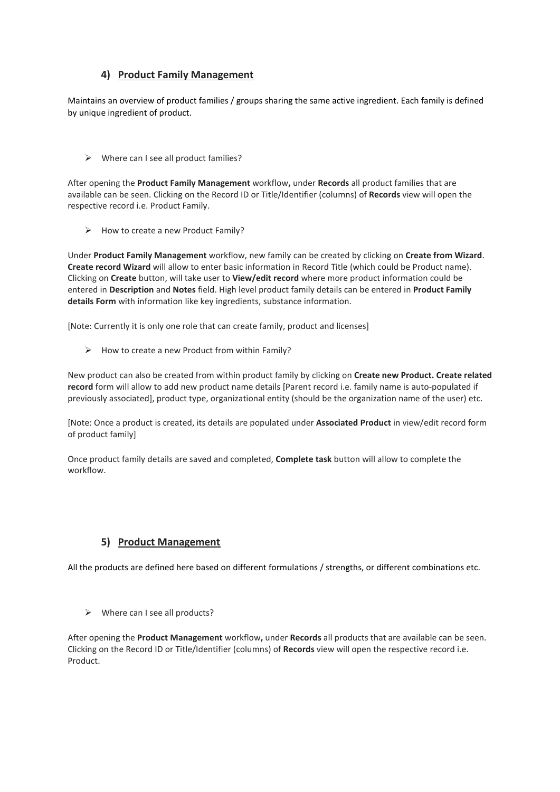## **4) Product Family Management**

Maintains an overview of product families / groups sharing the same active ingredient. Each family is defined by unique ingredient of product.

 $\triangleright$  Where can I see all product families?

After opening the **Product Family Management** workflow**,** under **Records** all product families that are available can be seen. Clicking on the Record ID or Title/Identifier (columns) of **Records** view will open the respective record i.e. Product Family.

 $\triangleright$  How to create a new Product Family?

Under **Product Family Management** workflow, new family can be created by clicking on **Create from Wizard**. **Create record Wizard** will allow to enter basic information in Record Title (which could be Product name). Clicking on **Create** button, will take user to **View/edit record** where more product information could be entered in **Description** and **Notes** field. High level product family details can be entered in **Product Family details Form** with information like key ingredients, substance information.

[Note: Currently it is only one role that can create family, product and licenses]

 $\triangleright$  How to create a new Product from within Family?

New product can also be created from within product family by clicking on **Create new Product. Create related record** form will allow to add new product name details [Parent record i.e. family name is auto-populated if previously associated], product type, organizational entity (should be the organization name of the user) etc.

[Note: Once a product is created, its details are populated under **Associated Product** in view/edit record form of product family]

Once product family details are saved and completed, **Complete task** button will allow to complete the workflow.

# **5) Product Management**

All the products are defined here based on different formulations / strengths, or different combinations etc.

 $\triangleright$  Where can I see all products?

After opening the **Product Management** workflow**,** under **Records** all products that are available can be seen. Clicking on the Record ID or Title/Identifier (columns) of **Records** view will open the respective record i.e. Product.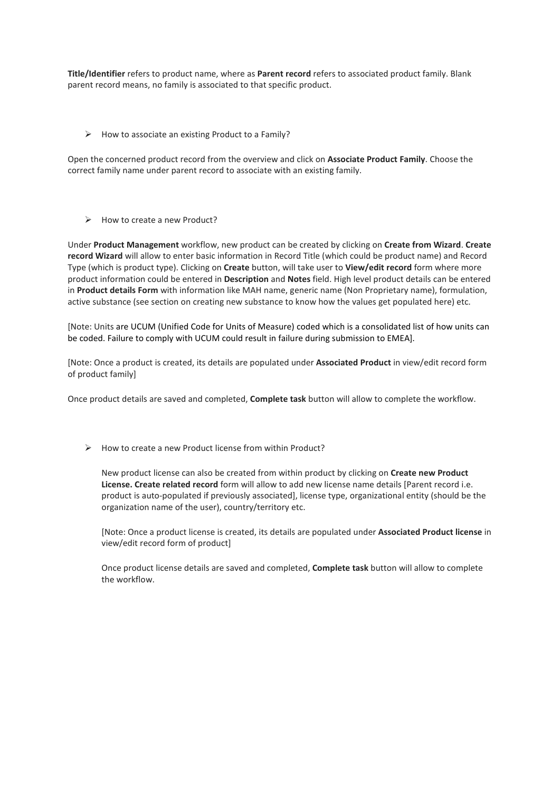**Title/Identifier** refers to product name, where as **Parent record** refers to associated product family. Blank parent record means, no family is associated to that specific product.

 $\triangleright$  How to associate an existing Product to a Family?

Open the concerned product record from the overview and click on **Associate Product Family**. Choose the correct family name under parent record to associate with an existing family.

 $\triangleright$  How to create a new Product?

Under **Product Management** workflow, new product can be created by clicking on **Create from Wizard**. **Create record Wizard** will allow to enter basic information in Record Title (which could be product name) and Record Type (which is product type). Clicking on **Create** button, will take user to **View/edit record** form where more product information could be entered in **Description** and **Notes** field. High level product details can be entered in **Product details Form** with information like MAH name, generic name (Non Proprietary name), formulation, active substance (see section on creating new substance to know how the values get populated here) etc.

[Note: Units are UCUM (Unified Code for Units of Measure) coded which is a consolidated list of how units can be coded. Failure to comply with UCUM could result in failure during submission to EMEA].

[Note: Once a product is created, its details are populated under **Associated Product** in view/edit record form of product family]

Once product details are saved and completed, **Complete task** button will allow to complete the workflow.

 $\triangleright$  How to create a new Product license from within Product?

New product license can also be created from within product by clicking on **Create new Product License. Create related record** form will allow to add new license name details [Parent record i.e. product is auto-populated if previously associated], license type, organizational entity (should be the organization name of the user), country/territory etc.

[Note: Once a product license is created, its details are populated under **Associated Product license** in view/edit record form of product]

Once product license details are saved and completed, **Complete task** button will allow to complete the workflow.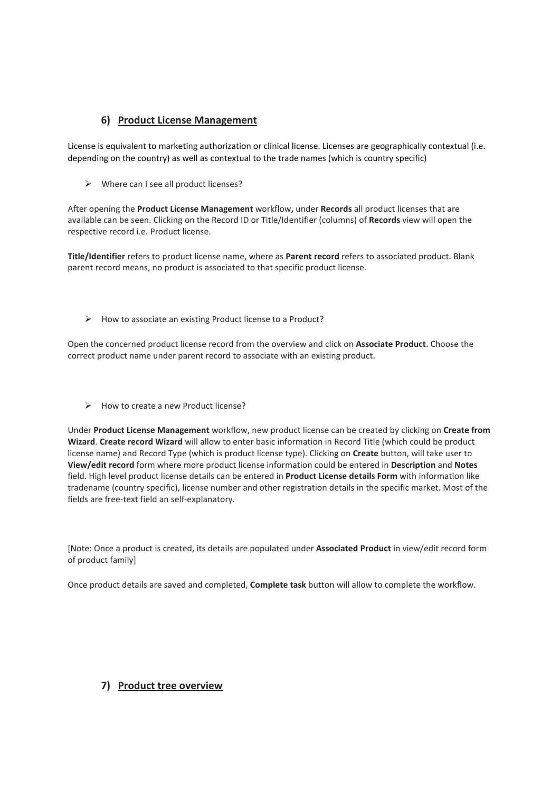## **6) Product License Management**

License is equivalent to marketing authorization or clinical license. Licenses are geographically contextual (i.e. depending on the country) as well as contextual to the trade names (which is country specific)

 $\triangleright$  Where can I see all product licenses?

After opening the **Product License Management** workflow**,** under **Records** all product licenses that are available can be seen. Clicking on the Record ID or Title/Identifier (columns) of **Records** view will open the respective record i.e. Product license.

**Title/Identifier** refers to product license name, where as **Parent record** refers to associated product. Blank parent record means, no product is associated to that specific product license.

 $\triangleright$  How to associate an existing Product license to a Product?

Open the concerned product license record from the overview and click on **Associate Product**. Choose the correct product name under parent record to associate with an existing product.

▶ How to create a new Product license?

Under **Product License Management** workflow, new product license can be created by clicking on **Create from Wizard**. **Create record Wizard** will allow to enter basic information in Record Title (which could be product license name) and Record Type (which is product license type). Clicking on **Create** button, will take user to **View/edit record** form where more product license information could be entered in **Description** and **Notes** field. High level product license details can be entered in **Product License details Form** with information like tradename (country specific), license number and other registration details in the specific market. Most of the fields are free-text field an self-explanatory.

[Note: Once a product is created, its details are populated under **Associated Product** in view/edit record form of product family]

Once product details are saved and completed, **Complete task** button will allow to complete the workflow.

## **7) Product tree overview**